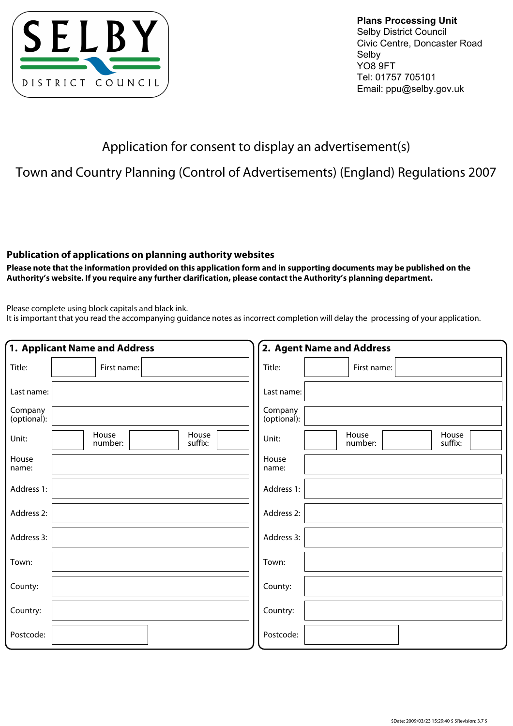

**Plans Processing Unit**  Selby District Council Civic Centre, Doncaster Road Selby YO8 9FT Tel: 01757 705101 Email: ppu@selby.gov.uk

## Application for consent to display an advertisement(s)

## Town and Country Planning (Control of Advertisements) (England) Regulations 2007

## **Publication of applications on planning authority websites**

**Please note that the information provided on this application form and in supporting documents may be published on the Authority's website. If you require any further clarification, please contact the Authority's planning department.**

Please complete using block capitals and black ink.

It is important that you read the accompanying guidance notes as incorrect completion will delay the processing of your application.

|                        | 1. Applicant Name and Address        | 2. Agent Name and Address                     |  |  |
|------------------------|--------------------------------------|-----------------------------------------------|--|--|
| Title:                 | First name:                          | Title:<br>First name:                         |  |  |
| Last name:             |                                      | Last name:                                    |  |  |
| Company<br>(optional): |                                      | Company<br>(optional):                        |  |  |
| Unit:                  | House<br>House<br>number:<br>suffix: | House<br>House<br>Unit:<br>number:<br>suffix: |  |  |
| House<br>name:         |                                      | House<br>name:                                |  |  |
| Address 1:             |                                      | Address 1:                                    |  |  |
| Address 2:             |                                      | Address 2:                                    |  |  |
| Address 3:             |                                      | Address 3:                                    |  |  |
| Town:                  |                                      | Town:                                         |  |  |
| County:                |                                      | County:                                       |  |  |
| Country:               |                                      | Country:                                      |  |  |
| Postcode:              |                                      | Postcode:                                     |  |  |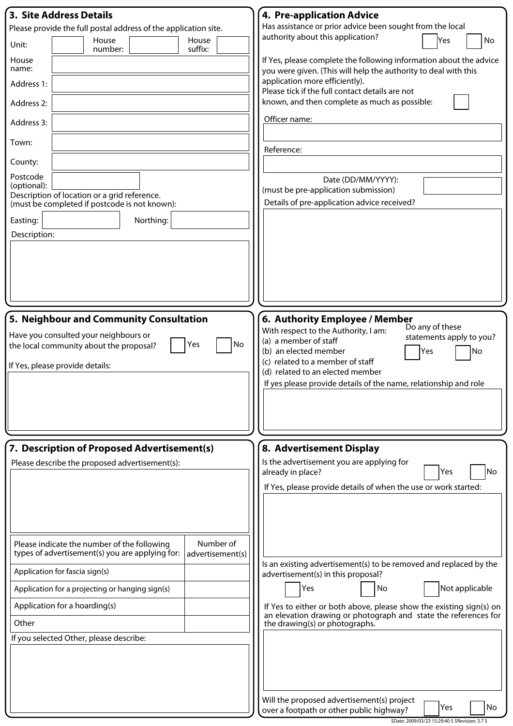| <b>3. Site Address Details</b>                                                                                                  | 4. Pre-application Advice                                                                                                             |  |
|---------------------------------------------------------------------------------------------------------------------------------|---------------------------------------------------------------------------------------------------------------------------------------|--|
| Please provide the full postal address of the application site.                                                                 | Has assistance or prior advice been sought from the local                                                                             |  |
| House<br>House<br>Unit:<br>suffix:<br>number:                                                                                   | authority about this application?<br>Yes<br>No                                                                                        |  |
| House<br>name:                                                                                                                  | If Yes, please complete the following information about the advice<br>you were given. (This will help the authority to deal with this |  |
| Address 1:                                                                                                                      | application more efficiently).<br>Please tick if the full contact details are not                                                     |  |
| Address 2:                                                                                                                      | known, and then complete as much as possible:                                                                                         |  |
| Address 3:                                                                                                                      | Officer name:                                                                                                                         |  |
| Town:                                                                                                                           | Reference:                                                                                                                            |  |
| County:                                                                                                                         |                                                                                                                                       |  |
| Postcode<br>(optional):                                                                                                         | Date (DD/MM/YYYY):                                                                                                                    |  |
| Description of location or a grid reference.                                                                                    | (must be pre-application submission)<br>Details of pre-application advice received?                                                   |  |
| (must be completed if postcode is not known):                                                                                   |                                                                                                                                       |  |
| Northing:<br>Easting:                                                                                                           |                                                                                                                                       |  |
| Description:                                                                                                                    |                                                                                                                                       |  |
|                                                                                                                                 |                                                                                                                                       |  |
|                                                                                                                                 |                                                                                                                                       |  |
|                                                                                                                                 |                                                                                                                                       |  |
|                                                                                                                                 |                                                                                                                                       |  |
| 5. Neighbour and Community Consultation                                                                                         | 6. Authority Employee / Member                                                                                                        |  |
| Have you consulted your neighbours or                                                                                           | Do any of these<br>With respect to the Authority, I am:<br>statements apply to you?<br>(a) a member of staff                          |  |
| No<br>Yes<br>the local community about the proposal?                                                                            | (b) an elected member<br>No<br>Yes                                                                                                    |  |
| If Yes, please provide details:                                                                                                 | (c) related to a member of staff                                                                                                      |  |
|                                                                                                                                 | (d) related to an elected member<br>If yes please provide details of the name, relationship and role                                  |  |
|                                                                                                                                 |                                                                                                                                       |  |
|                                                                                                                                 |                                                                                                                                       |  |
|                                                                                                                                 |                                                                                                                                       |  |
|                                                                                                                                 |                                                                                                                                       |  |
| 7. Description of Proposed Advertisement(s)<br>Please describe the proposed advertisement(s):                                   | 8. Advertisement Display<br>Is the advertisement you are applying for                                                                 |  |
|                                                                                                                                 | lNo<br>already in place?<br>Yes                                                                                                       |  |
|                                                                                                                                 | If Yes, please provide details of when the use or work started:                                                                       |  |
|                                                                                                                                 |                                                                                                                                       |  |
|                                                                                                                                 |                                                                                                                                       |  |
|                                                                                                                                 |                                                                                                                                       |  |
| Number of<br>Please indicate the number of the following<br>types of advertisement(s) you are applying for:<br>advertisement(s) |                                                                                                                                       |  |
| Application for fascia sign(s)                                                                                                  | Is an existing advertisement(s) to be removed and replaced by the<br>advertisement(s) in this proposal?                               |  |
| Application for a projecting or hanging sign(s)                                                                                 | Yes<br>Not applicable<br>No                                                                                                           |  |
| Application for a hoarding(s)                                                                                                   | If Yes to either or both above, please show the existing sign(s) on                                                                   |  |
| Other                                                                                                                           | an elevation drawing or photograph and state the references for<br>the drawing(s) or photographs.                                     |  |
| If you selected Other, please describe:                                                                                         |                                                                                                                                       |  |
|                                                                                                                                 |                                                                                                                                       |  |
|                                                                                                                                 |                                                                                                                                       |  |
|                                                                                                                                 |                                                                                                                                       |  |
|                                                                                                                                 | Will the proposed advertisement(s) project                                                                                            |  |
|                                                                                                                                 | Yes<br>No<br>over a footpath or other public highway?                                                                                 |  |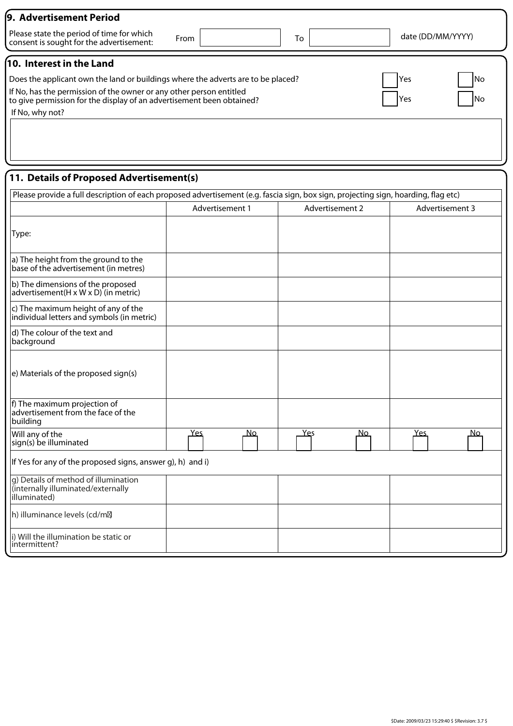| 9. Advertisement Period                                                                                                                      |            |           |  |                   |  |
|----------------------------------------------------------------------------------------------------------------------------------------------|------------|-----------|--|-------------------|--|
| Please state the period of time for which<br>From<br>consent is sought for the advertisement:                                                |            | To        |  | date (DD/MM/YYYY) |  |
| $\sqrt{10}$ . Interest in the Land                                                                                                           |            |           |  |                   |  |
| Does the applicant own the land or buildings where the adverts are to be placed?<br>Yes                                                      |            |           |  |                   |  |
| If No, has the permission of the owner or any other person entitled<br>to give permission for the display of an advertisement been obtained? | <b>Yes</b> | <b>No</b> |  |                   |  |
| If No, why not?                                                                                                                              |            |           |  |                   |  |

## **11. Details of Proposed Advertisement(s)**

| Please provide a full description of each proposed advertisement (e.g. fascia sign, box sign, projecting sign, hoarding, flag etc) |                   |                    |                 |
|------------------------------------------------------------------------------------------------------------------------------------|-------------------|--------------------|-----------------|
|                                                                                                                                    | Advertisement 1   | Advertisement 2    | Advertisement 3 |
| Type:                                                                                                                              |                   |                    |                 |
| a) The height from the ground to the<br>base of the advertisement (in metres)                                                      |                   |                    |                 |
| b) The dimensions of the proposed<br>advertisement $(H \times W \times D)$ (in metric)                                             |                   |                    |                 |
| c) The maximum height of any of the<br>individual letters and symbols (in metric)                                                  |                   |                    |                 |
| d) The colour of the text and<br>background                                                                                        |                   |                    |                 |
| e) Materials of the proposed sign(s)                                                                                               |                   |                    |                 |
| f) The maximum projection of<br>advertisement from the face of the<br>building                                                     |                   |                    |                 |
| Will any of the<br>sign(s) be illuminated                                                                                          | <u>Yes</u><br>No. | <u>Ye</u> s<br>No. | $Yes$<br>No.    |
| If Yes for any of the proposed signs, answer g), h) and i)                                                                         |                   |                    |                 |
| g) Details of method of illumination<br>(internally illuminated/externally<br>illuminated)                                         |                   |                    |                 |
| h) illuminance levels (cd/m <sub>2</sub>                                                                                           |                   |                    |                 |
| i) Will the illumination be static or<br>intermittent?                                                                             |                   |                    |                 |